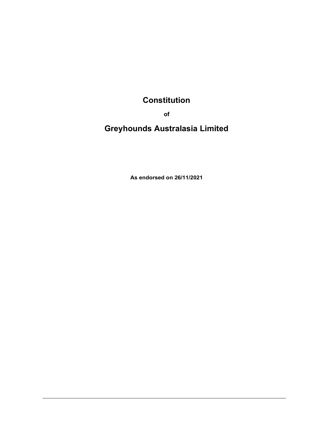# **Constitution**

of

Greyhounds Australasia Limited

As endorsed on 26/11/2021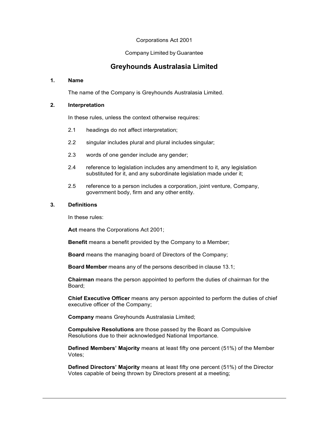# Corporations Act 2001

Company Limited by Guarantee

# Greyhounds Australasia Limited

# 1. Name

The name of the Company is Greyhounds Australasia Limited.

# 2. Interpretation

In these rules, unless the context otherwise requires:

- 2.1 headings do not affect interpretation;
- 2.2 singular includes plural and plural includes singular;
- 2.3 words of one gender include any gender;
- 2.4 reference to legislation includes any amendment to it, any legislation substituted for it, and any subordinate legislation made under it;
- 2.5 reference to a person includes a corporation, joint venture, Company, government body, firm and any other entity.

# 3. Definitions

In these rules:

Act means the Corporations Act 2001;

Benefit means a benefit provided by the Company to a Member;

Board means the managing board of Directors of the Company;

Board Member means any of the persons described in clause 13.1;

Chairman means the person appointed to perform the duties of chairman for the Board;

Chief Executive Officer means any person appointed to perform the duties of chief executive officer of the Company;

Company means Greyhounds Australasia Limited;

Compulsive Resolutions are those passed by the Board as Compulsive Resolutions due to their acknowledged National Importance.

Defined Members' Majority means at least fifty one percent (51%) of the Member Votes;

Defined Directors' Majority means at least fifty one percent (51%) of the Director Votes capable of being thrown by Directors present at a meeting;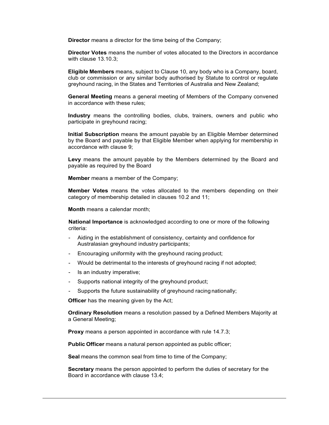**Director** means a director for the time being of the Company;

Director Votes means the number of votes allocated to the Directors in accordance with clause 13.10.3;

Eligible Members means, subject to Clause 10, any body who is a Company, board, club or commission or any similar body authorised by Statute to control or regulate greyhound racing, in the States and Territories of Australia and New Zealand;

General Meeting means a general meeting of Members of the Company convened in accordance with these rules;

Industry means the controlling bodies, clubs, trainers, owners and public who participate in greyhound racing;

Initial Subscription means the amount payable by an Eligible Member determined by the Board and payable by that Eligible Member when applying for membership in accordance with clause 9;

Levy means the amount payable by the Members determined by the Board and payable as required by the Board

Member means a member of the Company;

Member Votes means the votes allocated to the members depending on their category of membership detailed in clauses 10.2 and 11;

Month means a calendar month;

National Importance is acknowledged according to one or more of the following criteria:

- Aiding in the establishment of consistency, certainty and confidence for Australasian greyhound industry participants;
- Encouraging uniformity with the greyhound racing product;
- Would be detrimental to the interests of greyhound racing if not adopted;
- Is an industry imperative;
- Supports national integrity of the greyhound product;
- Supports the future sustainability of greyhound racing nationally;

**Officer** has the meaning given by the Act;

Ordinary Resolution means a resolution passed by a Defined Members Majority at a General Meeting;

Proxy means a person appointed in accordance with rule 14.7.3;

Public Officer means a natural person appointed as public officer;

Seal means the common seal from time to time of the Company;

Secretary means the person appointed to perform the duties of secretary for the Board in accordance with clause 13.4;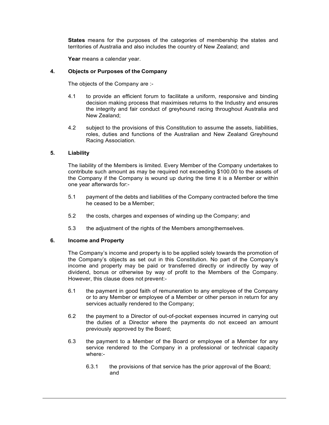States means for the purposes of the categories of membership the states and territories of Australia and also includes the country of New Zealand; and

Year means a calendar year.

#### 4. Objects or Purposes of the Company

The objects of the Company are :-

- 4.1 to provide an efficient forum to facilitate a uniform, responsive and binding decision making process that maximises returns to the Industry and ensures the integrity and fair conduct of greyhound racing throughout Australia and New Zealand;
- 4.2 subject to the provisions of this Constitution to assume the assets, liabilities, roles, duties and functions of the Australian and New Zealand Greyhound Racing Association.

#### 5. Liability

The liability of the Members is limited. Every Member of the Company undertakes to contribute such amount as may be required not exceeding \$100.00 to the assets of the Company if the Company is wound up during the time it is a Member or within one year afterwards for:-

- 5.1 payment of the debts and liabilities of the Company contracted before the time he ceased to be a Member;
- 5.2 the costs, charges and expenses of winding up the Company; and
- 5.3 the adjustment of the rights of the Members among themselves.

#### 6. Income and Property

The Company's income and property is to be applied solely towards the promotion of the Company's objects as set out in this Constitution. No part of the Company's income and property may be paid or transferred directly or indirectly by way of dividend, bonus or otherwise by way of profit to the Members of the Company. However, this clause does not prevent:-

- 6.1 the payment in good faith of remuneration to any employee of the Company or to any Member or employee of a Member or other person in return for any services actually rendered to the Company;
- 6.2 the payment to a Director of out-of-pocket expenses incurred in carrying out the duties of a Director where the payments do not exceed an amount previously approved by the Board;
- 6.3 the payment to a Member of the Board or employee of a Member for any service rendered to the Company in a professional or technical capacity where:-
	- 6.3.1 the provisions of that service has the prior approval of the Board; and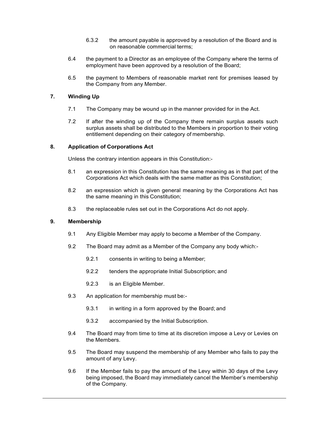- 6.3.2 the amount payable is approved by a resolution of the Board and is on reasonable commercial terms;
- 6.4 the payment to a Director as an employee of the Company where the terms of employment have been approved by a resolution of the Board;
- 6.5 the payment to Members of reasonable market rent for premises leased by the Company from any Member.

# 7. Winding Up

- 7.1 The Company may be wound up in the manner provided for in the Act.
- 7.2 If after the winding up of the Company there remain surplus assets such surplus assets shall be distributed to the Members in proportion to their voting entitlement depending on their category of membership.

# 8. Application of Corporations Act

Unless the contrary intention appears in this Constitution:-

- 8.1 an expression in this Constitution has the same meaning as in that part of the Corporations Act which deals with the same matter as this Constitution;
- 8.2 an expression which is given general meaning by the Corporations Act has the same meaning in this Constitution;
- 8.3 the replaceable rules set out in the Corporations Act do not apply.

# 9. Membership

- 9.1 Any Eligible Member may apply to become a Member of the Company.
- 9.2 The Board may admit as a Member of the Company any body which:-
	- 9.2.1 consents in writing to being a Member;
	- 9.2.2 tenders the appropriate Initial Subscription; and
	- 9.2.3 is an Eligible Member.
- 9.3 An application for membership must be:-
	- 9.3.1 in writing in a form approved by the Board; and
	- 9.3.2 accompanied by the Initial Subscription.
- 9.4 The Board may from time to time at its discretion impose a Levy or Levies on the Members.
- 9.5 The Board may suspend the membership of any Member who fails to pay the amount of any Levy.
- 9.6 If the Member fails to pay the amount of the Levy within 30 days of the Levy being imposed, the Board may immediately cancel the Member's membership of the Company.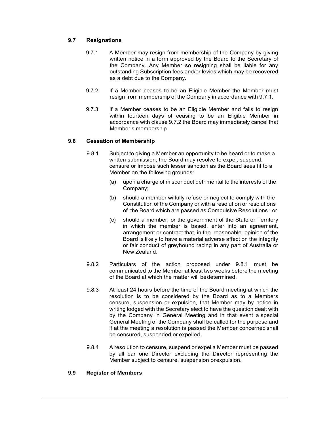# 9.7 Resignations

- 9.7.1 A Member may resign from membership of the Company by giving written notice in a form approved by the Board to the Secretary of the Company. Any Member so resigning shall be liable for any outstanding Subscription fees and/or levies which may be recovered as a debt due to the Company.
- 9.7.2 If a Member ceases to be an Eligible Member the Member must resign from membership of the Company in accordance with 9.7.1.
- 9.7.3 If a Member ceases to be an Eligible Member and fails to resign within fourteen days of ceasing to be an Eligible Member in accordance with clause 9.7.2 the Board may immediately cancel that Member's membership.

# 9.8 Cessation of Membership

- 9.8.1 Subject to giving a Member an opportunity to be heard or to make a written submission, the Board may resolve to expel, suspend, censure or impose such lesser sanction as the Board sees fit to a Member on the following grounds:
	- (a) upon a charge of misconduct detrimental to the interests of the Company;
	- (b) should a member wilfully refuse or neglect to comply with the Constitution of the Company or with a resolution or resolutions of the Board which are passed as Compulsive Resolutions ; or
	- (c) should a member, or the government of the State or Territory in which the member is based, enter into an agreement, arrangement or contract that, in the reasonable opinion of the Board is likely to have a material adverse affect on the integrity or fair conduct of greyhound racing in any part of Australia or New Zealand.
- 9.8.2 Particulars of the action proposed under 9.8.1 must be communicated to the Member at least two weeks before the meeting of the Board at which the matter will be determined.
- 9.8.3 At least 24 hours before the time of the Board meeting at which the resolution is to be considered by the Board as to a Members censure, suspension or expulsion, that Member may by notice in writing lodged with the Secretary elect to have the question dealt with by the Company in General Meeting and in that event a special General Meeting of the Company shall be called for the purpose and if at the meeting a resolution is passed the Member concerned shall be censured, suspended or expelled.
- 9.8.4 A resolution to censure, suspend or expel a Member must be passed by all bar one Director excluding the Director representing the Member subject to censure, suspension or expulsion.

#### 9.9 Register of Members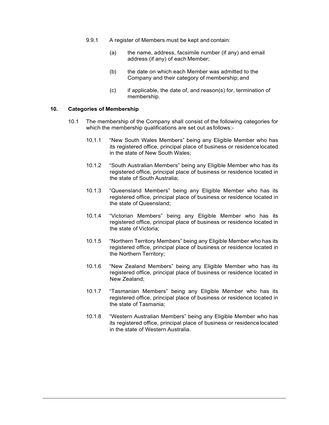- 9.9.1 A register of Members must be kept and contain:
	- (a) the name, address, facsimile number (if any) and email address (if any) of each Member;
	- (b) the date on which each Member was admitted to the Company and their category of membership; and
	- (c) if applicable, the date of, and reason(s) for, termination of membership.

#### 10. Categories of Membership

- 10.1 The membership of the Company shall consist of the following categories for which the membership qualifications are set out as follows:-
	- 10.1.1 "New South Wales Members" being any Eligible Member who has its registered office, principal place of business or residence located in the state of New South Wales;
	- 10.1.2 "South Australian Members" being any Eligible Member who has its registered office, principal place of business or residence located in the state of South Australia;
	- 10.1.3 "Queensland Members" being any Eligible Member who has its registered office, principal place of business or residence located in the state of Queensland;
	- 10.1.4 "Victorian Members" being any Eligible Member who has its registered office, principal place of business or residence located in the state of Victoria;
	- 10.1.5 "Northern Territory Members" being any Eligible Member who has its registered office, principal place of business or residence located in the Northern Territory;
	- 10.1.6 "New Zealand Members" being any Eligible Member who has its registered office, principal place of business or residence located in New Zealand;
	- 10.1.7 "Tasmanian Members" being any Eligible Member who has its registered office, principal place of business or residence located in the state of Tasmania;
	- 10.1.8 "Western Australian Members" being any Eligible Member who has its registered office, principal place of business or residence located in the state of Western Australia.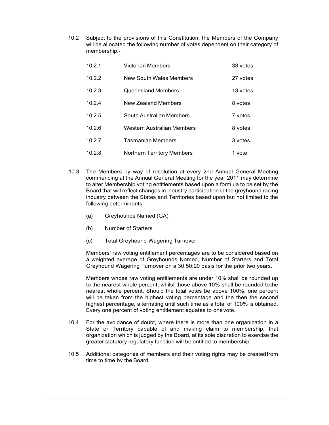10.2 Subject to the provisions of this Constitution, the Members of the Company will be allocated the following number of votes dependent on their category of membership:-

| 10.2.1 | <b>Victorian Members</b>          | 33 votes |
|--------|-----------------------------------|----------|
| 10.2.2 | New South Wales Members           | 27 votes |
| 10.2.3 | <b>Queensland Members</b>         | 13 votes |
| 10.2.4 | New Zealand Members               | 8 votes  |
| 10.2.5 | South Australian Members          | 7 votes  |
| 10.2.6 | Western Australian Members        | 8 votes  |
| 10.2.7 | Tasmanian Members                 | 3 votes  |
| 10.2.8 | <b>Northern Territory Members</b> | 1 vote   |

- 10.3 The Members by way of resolution at every 2nd Annual General Meeting commencing at the Annual General Meeting for the year 2011 may determine to alter Membership voting entitlements based upon a formula to be set by the Board that will reflect changes in industry participation in the greyhound racing industry between the States and Territories based upon but not limited to the following determinants;
	- (a) Greyhounds Named (GA)
	- (b) Number of Starters
	- (c) Total Greyhound Wagering Turnover

Members' raw voting entitlement percentages are to be considered based on a weighted average of Greyhounds Named, Number of Starters and Total Greyhound Wagering Turnover on a 30:50:20 basis for the prior two years.

Members whose raw voting entitlements are under 10% shall be rounded up to the nearest whole percent, whilst those above 10% shall be rounded to the nearest whole percent. Should the total votes be above 100%, one percent will be taken from the highest voting percentage and the then the second highest percentage, alternating until such time as a total of 100% is obtained. Every one percent of voting entitlement equates to one vote.

- 10.4 For the avoidance of doubt, where there is more than one organization in a State or Territory capable of and making claim to membership, that organization which is judged by the Board, at its sole discretion to exercise the greater statutory regulatory function will be entitled to membership.
- 10.5 Additional categories of members and their voting rights may be created from time to time by the Board.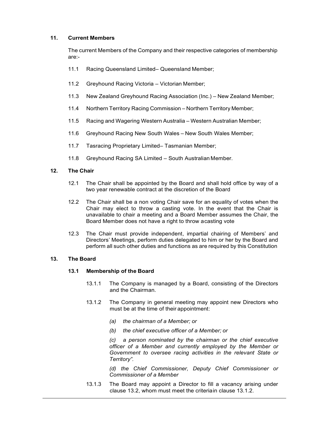# 11. Current Members

The current Members of the Company and their respective categories of membership are:-

- 11.1 Racing Queensland Limited– Queensland Member;
- 11.2 Greyhound Racing Victoria Victorian Member;
- 11.3 New Zealand Greyhound Racing Association (Inc.) New Zealand Member;
- 11.4 Northern Territory Racing Commission Northern Territory Member;
- 11.5 Racing and Wagering Western Australia Western Australian Member;
- 11.6 Greyhound Racing New South Wales New South Wales Member;
- 11.7 Tasracing Proprietary Limited– Tasmanian Member;
- 11.8 Greyhound Racing SA Limited South Australian Member.

# 12. The Chair

- 12.1 The Chair shall be appointed by the Board and shall hold office by way of a two year renewable contract at the discretion of the Board
- 12.2 The Chair shall be a non voting Chair save for an equality of votes when the Chair may elect to throw a casting vote. In the event that the Chair is unavailable to chair a meeting and a Board Member assumes the Chair, the Board Member does not have a right to throw a casting vote
- 12.3 The Chair must provide independent, impartial chairing of Members' and Directors' Meetings, perform duties delegated to him or her by the Board and perform all such other duties and functions as are required by this Constitution

#### 13. The Board

# 13.1 Membership of the Board

- 13.1.1 The Company is managed by a Board, consisting of the Directors and the Chairman.
- 13.1.2 The Company in general meeting may appoint new Directors who must be at the time of their appointment:
	- (a) the chairman of a Member; or
	- (b) the chief executive officer of a Member; or

(c) a person nominated by the chairman or the chief executive officer of a Member and currently employed by the Member or Government to oversee racing activities in the relevant State or Territory".

(d) the Chief Commissioner, Deputy Chief Commissioner or Commissioner of a Member

13.1.3 The Board may appoint a Director to fill a vacancy arising under clause 13.2, whom must meet the criteria in clause 13.1.2.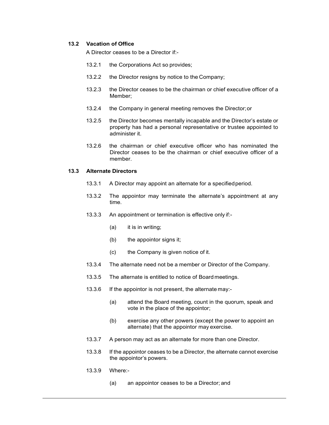# 13.2 Vacation of Office

A Director ceases to be a Director if:-

- 13.2.1 the Corporations Act so provides;
- 13.2.2 the Director resigns by notice to the Company;
- 13.2.3 the Director ceases to be the chairman or chief executive officer of a Member;
- 13.2.4 the Company in general meeting removes the Director; or
- 13.2.5 the Director becomes mentally incapable and the Director's estate or property has had a personal representative or trustee appointed to administer it.
- 13.2.6 the chairman or chief executive officer who has nominated the Director ceases to be the chairman or chief executive officer of a member.

#### 13.3 Alternate Directors

- 13.3.1 A Director may appoint an alternate for a specified period.
- 13.3.2 The appointor may terminate the alternate's appointment at any time.
- 13.3.3 An appointment or termination is effective only if:-
	- (a) it is in writing;
	- (b) the appointor signs it;
	- (c) the Company is given notice of it.
- 13.3.4 The alternate need not be a member or Director of the Company.
- 13.3.5 The alternate is entitled to notice of Board meetings.
- 13.3.6 If the appointor is not present, the alternate may:-
	- (a) attend the Board meeting, count in the quorum, speak and vote in the place of the appointor;
	- (b) exercise any other powers (except the power to appoint an alternate) that the appointor may exercise.
- 13.3.7 A person may act as an alternate for more than one Director.
- 13.3.8 If the appointor ceases to be a Director, the alternate cannot exercise the appointor's powers.
- 13.3.9 Where:-
	- (a) an appointor ceases to be a Director; and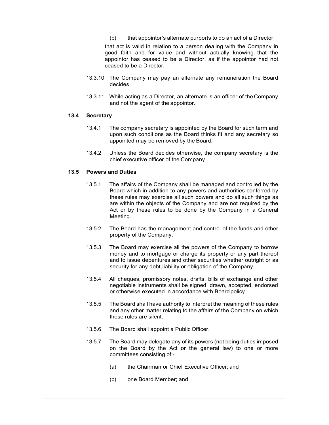(b) that appointor's alternate purports to do an act of a Director;

that act is valid in relation to a person dealing with the Company in good faith and for value and without actually knowing that the appointor has ceased to be a Director, as if the appointor had not ceased to be a Director.

- 13.3.10 The Company may pay an alternate any remuneration the Board decides.
- 13.3.11 While acting as a Director, an alternate is an officer of the Company and not the agent of the appointor.

# 13.4 Secretary

- 13.4.1 The company secretary is appointed by the Board for such term and upon such conditions as the Board thinks fit and any secretary so appointed may be removed by the Board.
- 13.4.2 Unless the Board decides otherwise, the company secretary is the chief executive officer of the Company.

#### 13.5 Powers and Duties

- 13.5.1 The affairs of the Company shall be managed and controlled by the Board which in addition to any powers and authorities conferred by these rules may exercise all such powers and do all such things as are within the objects of the Company and are not required by the Act or by these rules to be done by the Company in a General Meeting.
- 13.5.2 The Board has the management and control of the funds and other property of the Company.
- 13.5.3 The Board may exercise all the powers of the Company to borrow money and to mortgage or charge its property or any part thereof and to issue debentures and other securities whether outright or as security for any debt, liability or obligation of the Company.
- 13.5.4 All cheques, promissory notes, drafts, bills of exchange and other negotiable instruments shall be signed, drawn, accepted, endorsed or otherwise executed in accordance with Board policy.
- 13.5.5 The Board shall have authority to interpret the meaning of these rules and any other matter relating to the affairs of the Company on which these rules are silent.
- 13.5.6 The Board shall appoint a Public Officer.
- 13.5.7 The Board may delegate any of its powers (not being duties imposed on the Board by the Act or the general law) to one or more committees consisting of:-
	- (a) the Chairman or Chief Executive Officer; and
	- (b) one Board Member; and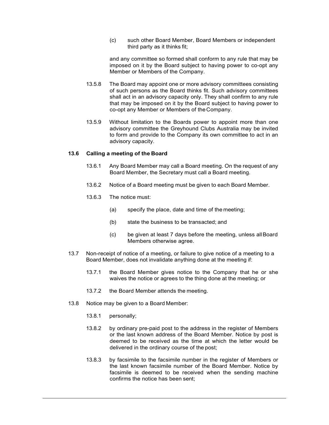(c) such other Board Member, Board Members or independent third party as it thinks fit;

and any committee so formed shall conform to any rule that may be imposed on it by the Board subject to having power to co-opt any Member or Members of the Company.

- 13.5.8 The Board may appoint one or more advisory committees consisting of such persons as the Board thinks fit. Such advisory committees shall act in an advisory capacity only. They shall confirm to any rule that may be imposed on it by the Board subject to having power to co-opt any Member or Members of the Company.
- 13.5.9 Without limitation to the Boards power to appoint more than one advisory committee the Greyhound Clubs Australia may be invited to form and provide to the Company its own committee to act in an advisory capacity.

# 13.6 Calling a meeting of the Board

- 13.6.1 Any Board Member may call a Board meeting. On the request of any Board Member, the Secretary must call a Board meeting.
- 13.6.2 Notice of a Board meeting must be given to each Board Member.
- 13.6.3 The notice must:
	- (a) specify the place, date and time of the meeting;
	- (b) state the business to be transacted; and
	- (c) be given at least 7 days before the meeting, unless all Board Members otherwise agree.
- 13.7 Non-receipt of notice of a meeting, or failure to give notice of a meeting to a Board Member, does not invalidate anything done at the meeting if:
	- 13.7.1 the Board Member gives notice to the Company that he or she waives the notice or agrees to the thing done at the meeting; or
	- 13.7.2 the Board Member attends the meeting.
- 13.8 Notice may be given to a Board Member:
	- 13.8.1 personally;
	- 13.8.2 by ordinary pre-paid post to the address in the register of Members or the last known address of the Board Member. Notice by post is deemed to be received as the time at which the letter would be delivered in the ordinary course of the post;
	- 13.8.3 by facsimile to the facsimile number in the register of Members or the last known facsimile number of the Board Member. Notice by facsimile is deemed to be received when the sending machine confirms the notice has been sent;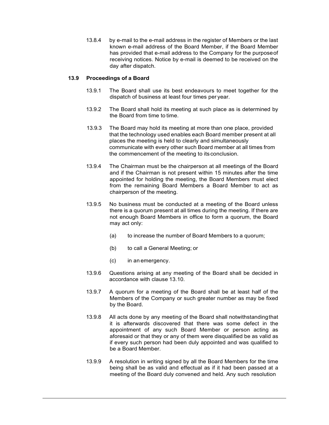13.8.4 by e-mail to the e-mail address in the register of Members or the last known e-mail address of the Board Member, if the Board Member has provided that e-mail address to the Company for the purpose of receiving notices. Notice by e-mail is deemed to be received on the day after dispatch.

## 13.9 Proceedings of a Board

- 13.9.1 The Board shall use its best endeavours to meet together for the dispatch of business at least four times per year.
- 13.9.2 The Board shall hold its meeting at such place as is determined by the Board from time to time.
- 13.9.3 The Board may hold its meeting at more than one place, provided that the technology used enables each Board member present at all places the meeting is held to clearly and simultaneously communicate with every other such Board member at all times from the commencement of the meeting to its conclusion.
- 13.9.4 The Chairman must be the chairperson at all meetings of the Board and if the Chairman is not present within 15 minutes after the time appointed for holding the meeting, the Board Members must elect from the remaining Board Members a Board Member to act as chairperson of the meeting.
- 13.9.5 No business must be conducted at a meeting of the Board unless there is a quorum present at all times during the meeting. If there are not enough Board Members in office to form a quorum, the Board may act only:
	- (a) to increase the number of Board Members to a quorum;
	- (b) to call a General Meeting; or
	- (c) in an emergency.
- 13.9.6 Questions arising at any meeting of the Board shall be decided in accordance with clause 13.10.
- 13.9.7 A quorum for a meeting of the Board shall be at least half of the Members of the Company or such greater number as may be fixed by the Board.
- 13.9.8 All acts done by any meeting of the Board shall notwithstanding that it is afterwards discovered that there was some defect in the appointment of any such Board Member or person acting as aforesaid or that they or any of them were disqualified be as valid as if every such person had been duly appointed and was qualified to be a Board Member.
- 13.9.9 A resolution in writing signed by all the Board Members for the time being shall be as valid and effectual as if it had been passed at a meeting of the Board duly convened and held. Any such resolution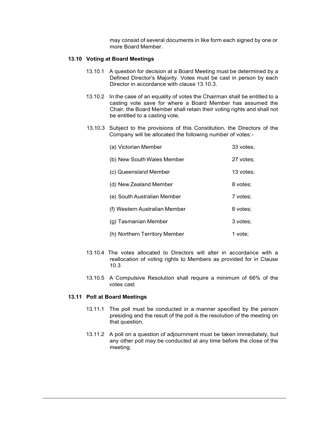may consist of several documents in like form each signed by one or more Board Member.

# 13.10 Voting at Board Meetings

- 13.10.1 A question for decision at a Board Meeting must be determined by a Defined Director's Majority. Votes must be cast in person by each Director in accordance with clause 13.10.3.
- 13.10.2 In the case of an equality of votes the Chairman shall be entitled to a casting vote save for where a Board Member has assumed the Chair, the Board Member shall retain their voting rights and shall not be entitled to a casting vote.
- 13.10.3 Subject to the provisions of this Constitution, the Directors of the Company will be allocated the following number of votes: -

| (a) Victorian Member          | 33 votes: |
|-------------------------------|-----------|
| (b) New South Wales Member    | 27 votes: |
| (c) Queensland Member         | 13 votes: |
| (d) New Zealand Member        | 8 votes:  |
| (e) South Australian Member   | 7 votes:  |
| (f) Western Australian Member | 8 votes:  |
| (g) Tasmanian Member          | 3 votes:  |
| (h) Northern Territory Member | 1 vote:   |

- 13.10.4 The votes allocated to Directors will alter in accordance with a reallocation of voting rights to Members as provided for in Clause 10.3
- 13.10.5 A Compulsive Resolution shall require a minimum of 66% of the votes cast

#### 13.11 Poll at Board Meetings

- 13.11.1 The poll must be conducted in a manner specified by the person presiding and the result of the poll is the resolution of the meeting on that question.
- 13.11.2 A poll on a question of adjournment must be taken immediately, but any other poll may be conducted at any time before the close of the meeting.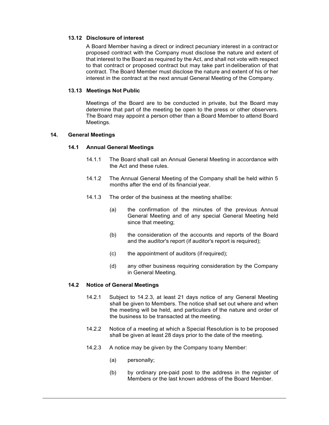# 13.12 Disclosure of interest

A Board Member having a direct or indirect pecuniary interest in a contract or proposed contract with the Company must disclose the nature and extent of that interest to the Board as required by the Act, and shall not vote with respect to that contract or proposed contract but may take part in deliberation of that contract. The Board Member must disclose the nature and extent of his or her interest in the contract at the next annual General Meeting of the Company.

# 13.13 Meetings Not Public

Meetings of the Board are to be conducted in private, but the Board may determine that part of the meeting be open to the press or other observers. The Board may appoint a person other than a Board Member to attend Board Meetings.

# 14. General Meetings

# 14.1 Annual General Meetings

- 14.1.1 The Board shall call an Annual General Meeting in accordance with the Act and these rules.
- 14.1.2 The Annual General Meeting of the Company shall be held within 5 months after the end of its financial year.
- 14.1.3 The order of the business at the meeting shall be:
	- (a) the confirmation of the minutes of the previous Annual General Meeting and of any special General Meeting held since that meeting;
	- (b) the consideration of the accounts and reports of the Board and the auditor's report (if auditor's report is required);
	- (c) the appointment of auditors (if required);
	- (d) any other business requiring consideration by the Company in General Meeting.

#### 14.2 Notice of General Meetings

- 14.2.1 Subject to 14.2.3, at least 21 days notice of any General Meeting shall be given to Members. The notice shall set out where and when the meeting will be held, and particulars of the nature and order of the business to be transacted at the meeting.
- 14.2.2 Notice of a meeting at which a Special Resolution is to be proposed shall be given at least 28 days prior to the date of the meeting.
- 14.2.3 A notice may be given by the Company to any Member:
	- (a) personally;
	- (b) by ordinary pre-paid post to the address in the register of Members or the last known address of the Board Member.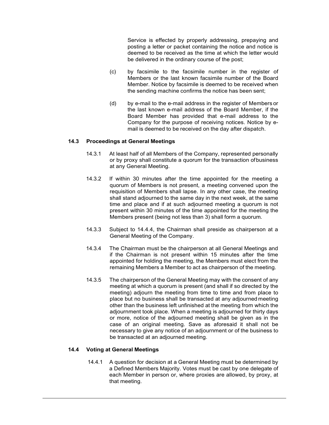Service is effected by properly addressing, prepaying and posting a letter or packet containing the notice and notice is deemed to be received as the time at which the letter would be delivered in the ordinary course of the post;

- (c) by facsimile to the facsimile number in the register of Members or the last known facsimile number of the Board Member. Notice by facsimile is deemed to be received when the sending machine confirms the notice has been sent;
- (d) by e-mail to the e-mail address in the register of Members or the last known e-mail address of the Board Member, if the Board Member has provided that e-mail address to the Company for the purpose of receiving notices. Notice by email is deemed to be received on the day after dispatch.

#### 14.3 Proceedings at General Meetings

- 14.3.1 At least half of all Members of the Company, represented personally or by proxy shall constitute a quorum for the transaction of business at any General Meeting.
- 14.3.2 If within 30 minutes after the time appointed for the meeting a quorum of Members is not present, a meeting convened upon the requisition of Members shall lapse. In any other case, the meeting shall stand adjourned to the same day in the next week, at the same time and place and if at such adjourned meeting a quorum is not present within 30 minutes of the time appointed for the meeting the Members present (being not less than 3) shall form a quorum.
- 14.3.3 Subject to 14.4.4, the Chairman shall preside as chairperson at a General Meeting of the Company.
- 14.3.4 The Chairman must be the chairperson at all General Meetings and if the Chairman is not present within 15 minutes after the time appointed for holding the meeting, the Members must elect from the remaining Members a Member to act as chairperson of the meeting.
- 14.3.5 The chairperson of the General Meeting may with the consent of any meeting at which a quorum is present (and shall if so directed by the meeting) adjourn the meeting from time to time and from place to place but no business shall be transacted at any adjourned meeting other than the business left unfinished at the meeting from which the adjournment took place. When a meeting is adjourned for thirty days or more, notice of the adjourned meeting shall be given as in the case of an original meeting. Save as aforesaid it shall not be necessary to give any notice of an adjournment or of the business to be transacted at an adjourned meeting.

#### 14.4 Voting at General Meetings

14.4.1 A question for decision at a General Meeting must be determined by a Defined Members Majority. Votes must be cast by one delegate of each Member in person or, where proxies are allowed, by proxy, at that meeting.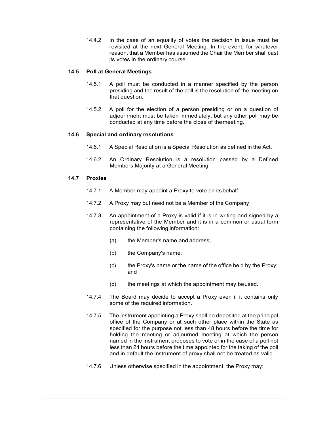14.4.2 In the case of an equality of votes the decision in issue must be revisited at the next General Meeting. In the event, for whatever reason, that a Member has assumed the Chair the Member shall cast its votes in the ordinary course.

#### 14.5 Poll at General Meetings

- 14.5.1 A poll must be conducted in a manner specified by the person presiding and the result of the poll is the resolution of the meeting on that question.
- 14.5.2 A poll for the election of a person presiding or on a question of adjournment must be taken immediately, but any other poll may be conducted at any time before the close of the meeting.

#### 14.6 Special and ordinary resolutions

- 14.6.1 A Special Resolution is a Special Resolution as defined in the Act.
- 14.6.2 An Ordinary Resolution is a resolution passed by a Defined Members Majority at a General Meeting.

#### 14.7 Proxies

- 14.7.1 A Member may appoint a Proxy to vote on its behalf.
- 14.7.2 A Proxy may but need not be a Member of the Company.
- 14.7.3 An appointment of a Proxy is valid if it is in writing and signed by a representative of the Member and it is in a common or usual form containing the following information:
	- (a) the Member's name and address;
	- (b) the Company's name;
	- (c) the Proxy's name or the name of the office held by the Proxy; and
	- (d) the meetings at which the appointment may be used.
- 14.7.4 The Board may decide to accept a Proxy even if it contains only some of the required information.
- 14.7.5 The instrument appointing a Proxy shall be deposited at the principal office of the Company or at such other place within the State as specified for the purpose not less than 48 hours before the time for holding the meeting or adjourned meeting at which the person named in the instrument proposes to vote or in the case of a poll not less than 24 hours before the time appointed for the taking of the poll and in default the instrument of proxy shall not be treated as valid.
- 14.7.6 Unless otherwise specified in the appointment, the Proxy may: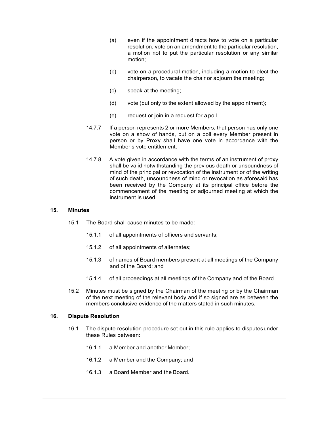- (a) even if the appointment directs how to vote on a particular resolution, vote on an amendment to the particular resolution, a motion not to put the particular resolution or any similar motion;
- (b) vote on a procedural motion, including a motion to elect the chairperson, to vacate the chair or adjourn the meeting;
- (c) speak at the meeting;
- (d) vote (but only to the extent allowed by the appointment);
- (e) request or join in a request for a poll.
- 14.7.7 If a person represents 2 or more Members, that person has only one vote on a show of hands, but on a poll every Member present in person or by Proxy shall have one vote in accordance with the Member's vote entitlement.
- 14.7.8 A vote given in accordance with the terms of an instrument of proxy shall be valid notwithstanding the previous death or unsoundness of mind of the principal or revocation of the instrument or of the writing of such death, unsoundness of mind or revocation as aforesaid has been received by the Company at its principal office before the commencement of the meeting or adjourned meeting at which the instrument is used.

#### 15. Minutes

- 15.1 The Board shall cause minutes to be made:
	- 15.1.1 of all appointments of officers and servants;
	- 15.1.2 of all appointments of alternates;
	- 15.1.3 of names of Board members present at all meetings of the Company and of the Board; and
	- 15.1.4 of all proceedings at all meetings of the Company and of the Board.
- 15.2 Minutes must be signed by the Chairman of the meeting or by the Chairman of the next meeting of the relevant body and if so signed are as between the members conclusive evidence of the matters stated in such minutes.

#### 16. Dispute Resolution

- 16.1 The dispute resolution procedure set out in this rule applies to disputes under these Rules between:
	- 16.1.1 a Member and another Member;
	- 16.1.2 a Member and the Company; and
	- 16.1.3 a Board Member and the Board.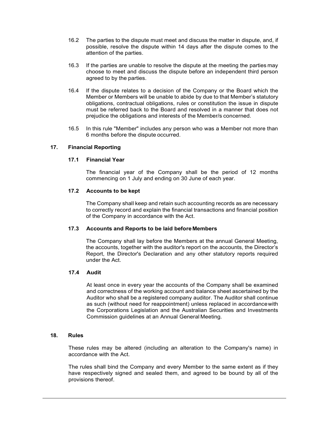- 16.2 The parties to the dispute must meet and discuss the matter in dispute, and, if possible, resolve the dispute within 14 days after the dispute comes to the attention of the parties.
- 16.3 If the parties are unable to resolve the dispute at the meeting the parties may choose to meet and discuss the dispute before an independent third person agreed to by the parties.
- 16.4 If the dispute relates to a decision of the Company or the Board which the Member or Members will be unable to abide by due to that Member's statutory obligations, contractual obligations, rules or constitution the issue in dispute must be referred back to the Board and resolved in a manner that does not prejudice the obligations and interests of the Member/s concerned.
- 16.5 In this rule "Member" includes any person who was a Member not more than 6 months before the dispute occurred.

# 17. Financial Reporting

## 17.1 Financial Year

The financial year of the Company shall be the period of 12 months commencing on 1 July and ending on 30 June of each year.

# 17.2 Accounts to be kept

The Company shall keep and retain such accounting records as are necessary to correctly record and explain the financial transactions and financial position of the Company in accordance with the Act.

#### 17.3 Accounts and Reports to be laid before Members

The Company shall lay before the Members at the annual General Meeting, the accounts, together with the auditor's report on the accounts, the Director's Report, the Director's Declaration and any other statutory reports required under the Act.

#### 17.4 Audit

At least once in every year the accounts of the Company shall be examined and correctness of the working account and balance sheet ascertained by the Auditor who shall be a registered company auditor. The Auditor shall continue as such (without need for reappointment) unless replaced in accordance with the Corporations Legislation and the Australian Securities and Investments Commission guidelines at an Annual General Meeting.

# 18. Rules

These rules may be altered (including an alteration to the Company's name) in accordance with the Act.

The rules shall bind the Company and every Member to the same extent as if they have respectively signed and sealed them, and agreed to be bound by all of the provisions thereof.